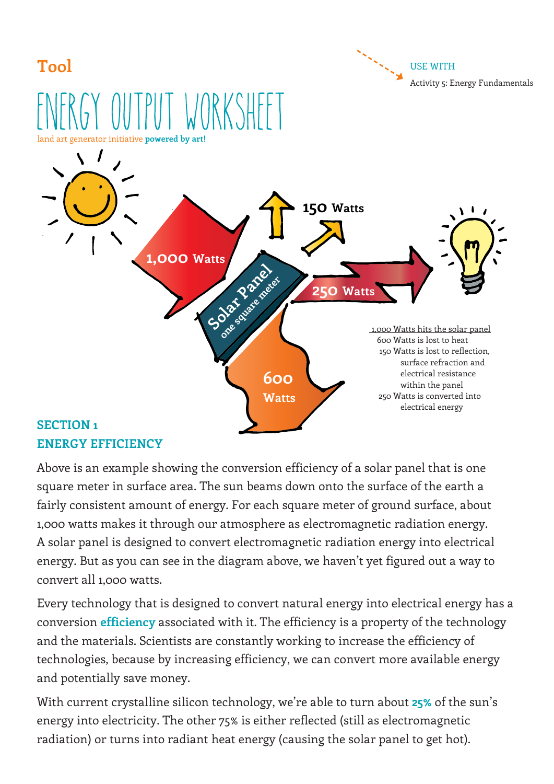

Above is an example showing the conversion efficiency of a solar panel that is one square meter in surface area. The sun beams down onto the surface of the earth a fairly consistent amount of energy. For each square meter of ground surface, about 1,000 watts makes it through our atmosphere as electromagnetic radiation energy. A solar panel is designed to convert electromagnetic radiation energy into electrical energy. But as you can see in the diagram above, we haven't yet figured out a way to convert all 1,000 watts.

Every technology that is designed to convert natural energy into electrical energy has a conversion **efficiency** associated with it. The efficiency is a property of the technology and the materials. Scientists are constantly working to increase the efficiency of technologies, because by increasing efficiency, we can convert more available energy and potentially save money.

With current crystalline silicon technology, we're able to turn about **25%** of the sun's energy into electricity. The other 75% is either reflected (still as electromagnetic radiation) or turns into radiant heat energy (causing the solar panel to get hot).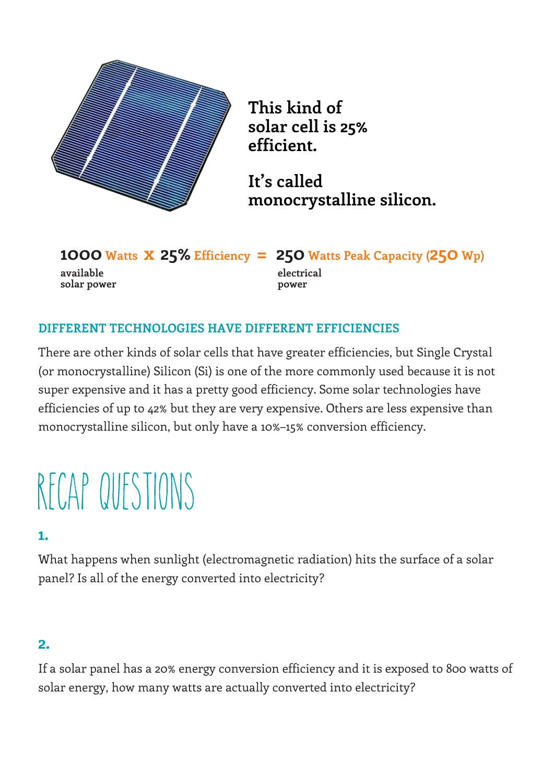

**This kind of solar cell is 25% efficient.**

**It's called monocrystalline silicon.**

**1000 Watts x 25% Efficiency = 250 Watts Peak Capacity (250 Wp) available solar power electrical power**

## **DIFFERENT TECHNOLOGIES HAVE DIFFERENT EFFICIENCIES**

There are other kinds of solar cells that have greater efficiencies, but Single Crystal (or monocrystalline) Silicon (Si) is one of the more commonly used because it is not super expensive and it has a pretty good efficiency. Some solar technologies have efficiencies of up to 42% but they are very expensive. Others are less expensive than monocrystalline silicon, but only have a 10%–15% conversion efficiency.

# RECAP QUESTIONS

## **1.**

What happens when sunlight (electromagnetic radiation) hits the surface of a solar panel? Is all of the energy converted into electricity?

#### **2.**

If a solar panel has a 20% energy conversion efficiency and it is exposed to 800 watts of solar energy, how many watts are actually converted into electricity?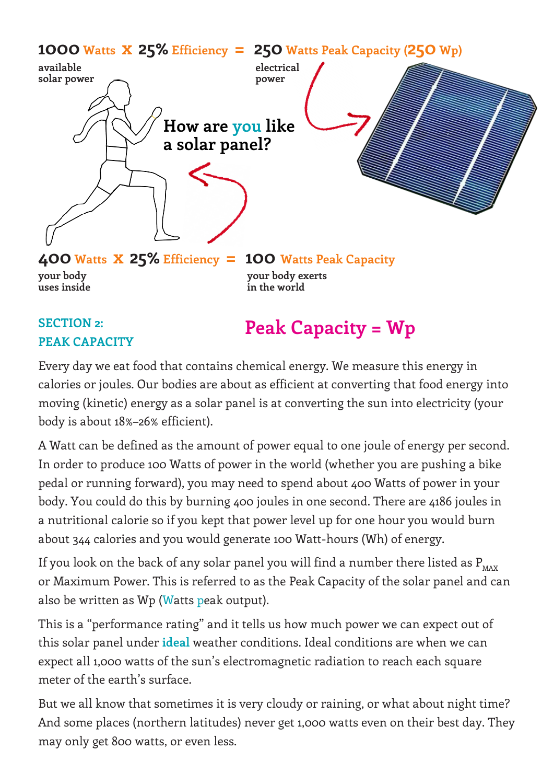

## **SECTION 2: PEAK CAPACITY**

**Peak Capacity = Wp**

Every day we eat food that contains chemical energy. We measure this energy in calories or joules. Our bodies are about as efficient at converting that food energy into moving (kinetic) energy as a solar panel is at converting the sun into electricity (your body is about 18%–26% efficient).

A Watt can be defined as the amount of power equal to one joule of energy per second. In order to produce 100 Watts of power in the world (whether you are pushing a bike pedal or running forward), you may need to spend about 400 Watts of power in your body. You could do this by burning 400 joules in one second. There are 4186 joules in a nutritional calorie so if you kept that power level up for one hour you would burn about 344 calories and you would generate 100 Watt-hours (Wh) of energy.

If you look on the back of any solar panel you will find a number there listed as  $P_{\text{max}}$ or Maximum Power. This is referred to as the Peak Capacity of the solar panel and can also be written as Wp (Watts peak output).

This is a "performance rating" and it tells us how much power we can expect out of this solar panel under **ideal** weather conditions. Ideal conditions are when we can expect all 1,000 watts of the sun's electromagnetic radiation to reach each square meter of the earth's surface.

But we all know that sometimes it is very cloudy or raining, or what about night time? And some places (northern latitudes) never get 1,000 watts even on their best day. They may only get 800 watts, or even less.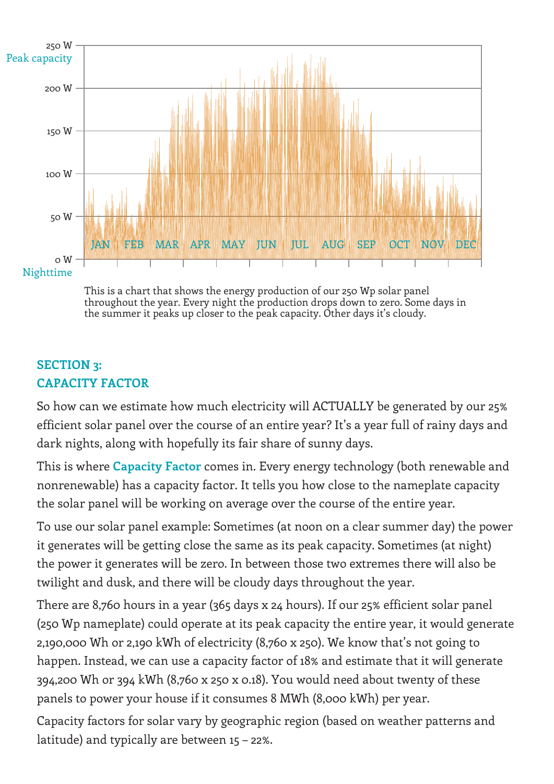

This is a chart that shows the energy production of our 250 Wp solar panel throughout the year. Every night the production drops down to zero. Some days in the summer it peaks up closer to the peak capacity. Other days it's cloudy.

## **SECTION 3: CAPACITY FACTOR**

So how can we estimate how much electricity will ACTUALLY be generated by our 25% efficient solar panel over the course of an entire year? It's a year full of rainy days and dark nights, along with hopefully its fair share of sunny days.

This is where **Capacity Factor** comes in. Every energy technology (both renewable and nonrenewable) has a capacity factor. It tells you how close to the nameplate capacity the solar panel will be working on average over the course of the entire year.

To use our solar panel example: Sometimes (at noon on a clear summer day) the power it generates will be getting close the same as its peak capacity. Sometimes (at night) the power it generates will be zero. In between those two extremes there will also be twilight and dusk, and there will be cloudy days throughout the year.

There are 8,760 hours in a year (365 days x 24 hours). If our 25% efficient solar panel (250 Wp nameplate) could operate at its peak capacity the entire year, it would generate 2,190,000 Wh or 2,190 kWh of electricity (8,760 x 250). We know that's not going to happen. Instead, we can use a capacity factor of 18% and estimate that it will generate 394,200 Wh or 394 kWh (8,760 x 250 x 0.18). You would need about twenty of these panels to power your house if it consumes 8 MWh (8,000 kWh) per year.

Capacity factors for solar vary by geographic region (based on weather patterns and latitude) and typically are between 15 – 22%.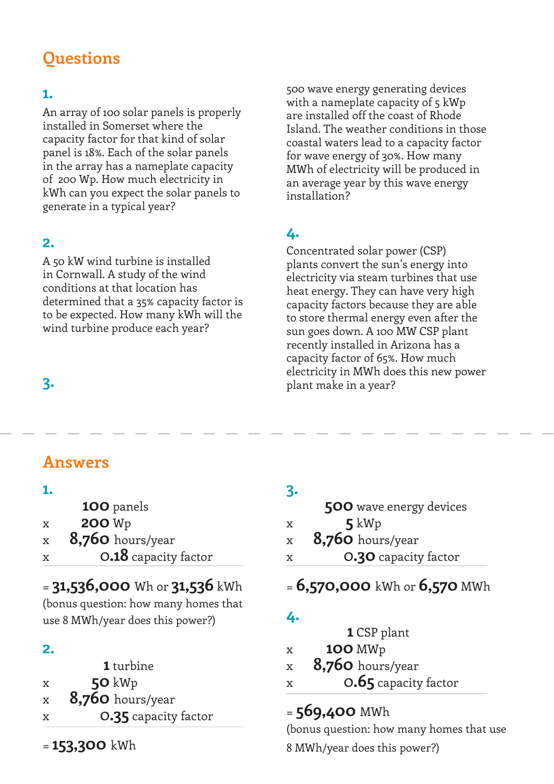# **Questions**

## **1.**

An array of 100 solar panels is properly installed in Somerset where the capacity factor for that kind of solar panel is 18%. Each of the solar panels in the array has a nameplate capacity of 200 Wp. How much electricity in kWh can you expect the solar panels to generate in a typical year?

## **2.**

A 50 kW wind turbine is installed in Cornwall. A study of the wind conditions at that location has determined that a 35% capacity factor is to be expected. How many kWh will the wind turbine produce each year?

## **3.**

500 wave energy generating devices with a nameplate capacity of 5 kWp are installed off the coast of Rhode Island. The weather conditions in those coastal waters lead to a capacity factor for wave energy of 30%. How many MWh of electricity will be produced in an average year by this wave energy installation?

## **4.**

Concentrated solar power (CSP) plants convert the sun's energy into electricity via steam turbines that use heat energy. They can have very high capacity factors because they are able to store thermal energy even after the sun goes down. A 100 MW CSP plant recently installed in Arizona has a capacity factor of 65%. How much electricity in MWh does this new power plant make in a year?

## **Answers**

#### **1.**

|               | 100 panels |
|---------------|------------|
| <b>BARTIT</b> |            |

- x **200** Wp
- x **8,760** hours/year
- x 0**.18** capacity factor

## = **31,536,000** Wh or **31,536** kWh

(bonus question: how many homes that use 8 MWh/year does this power?)

## **2.**

|   | <b>1</b> turbine        |
|---|-------------------------|
| x | $50 \text{ kW}$         |
| X | <b>8,760</b> hours/year |
| x | 0.35 capacity factor    |

= **153,300** kWh

## **3.**

|             | <b>500</b> wave energy devices |
|-------------|--------------------------------|
| X           | $5 \,\mathrm{kWp}$             |
| $\mathbf x$ | $8,760$ hours/year             |
| X           | <b>0.30</b> capacity factor    |
|             |                                |

## = **6,570,000** kWh or **6,570** MWh

## **4.**

| <b>1</b> CSP plant |  |
|--------------------|--|
|--------------------|--|

- x **100** MWp
- x **8,760** hours/year
- x 0**.65** capacity factor

## = **569,400** MWh

(bonus question: how many homes that use 8 MWh/year does this power?)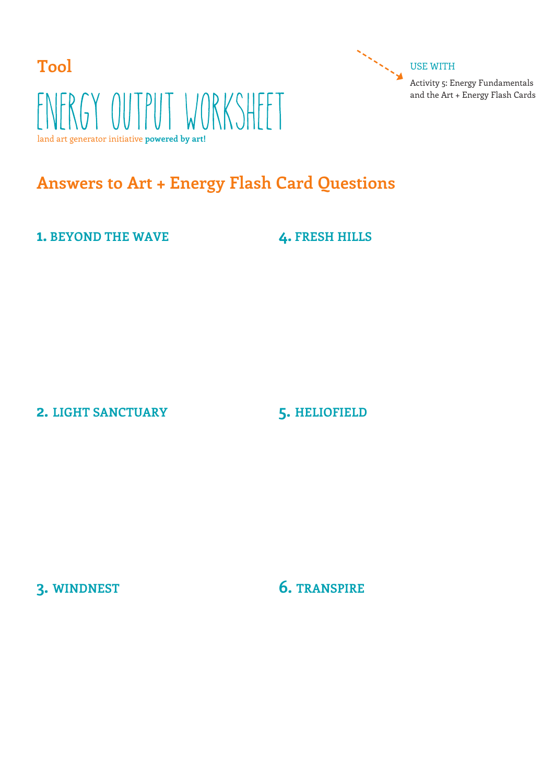

## **Answers to Art + Energy Flash Card Questions**

**1. BEYOND THE WAVE**

**4. FRESH HILLS**

Activity 5: Energy Fundamentals and the Art + Energy Flash Cards

**2. LIGHT SANCTUARY**

#### **5. HELIOFIELD**

**3. WINDNEST**

**6. TRANSPIRE**